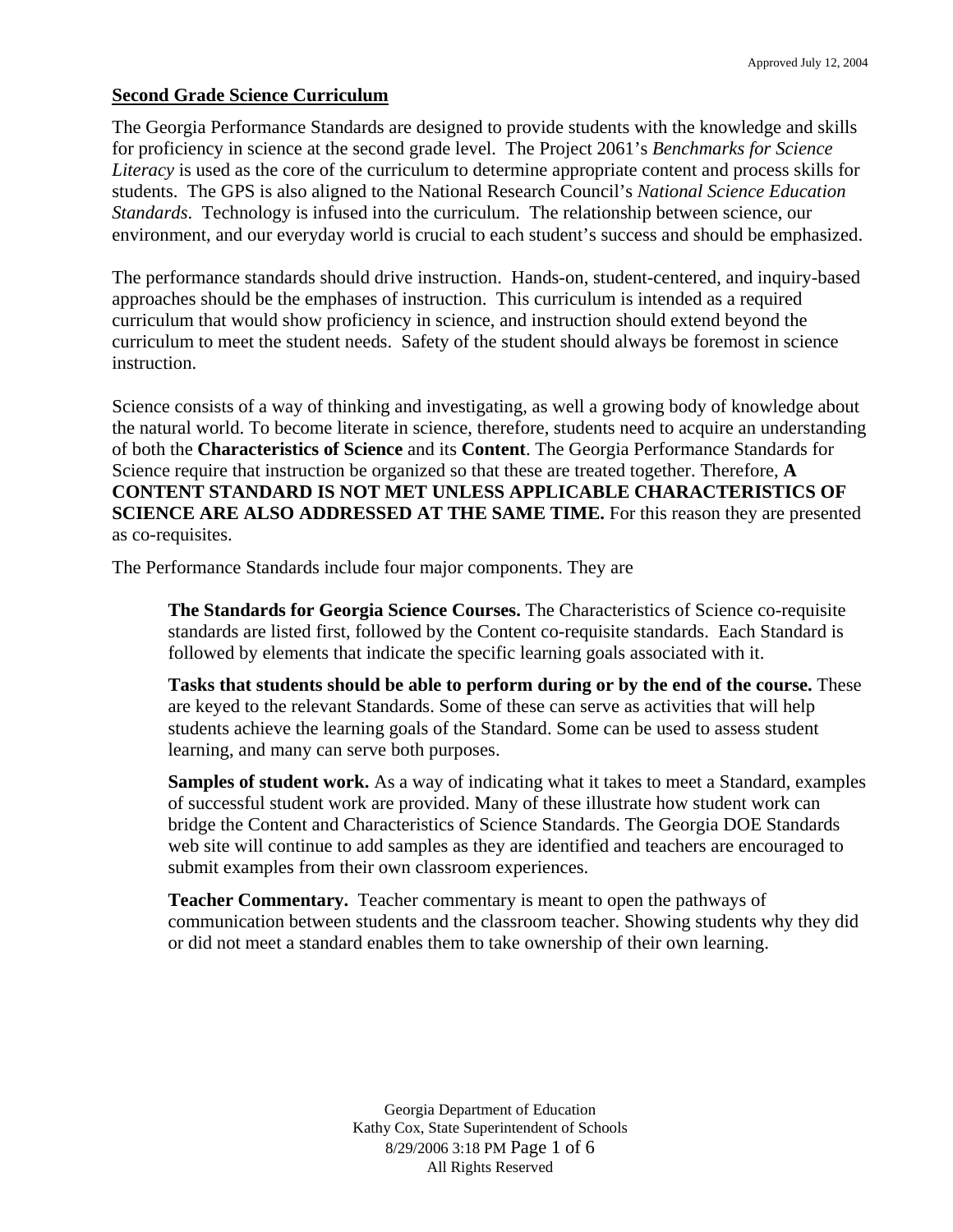#### **Second Grade Science Curriculum**

The Georgia Performance Standards are designed to provide students with the knowledge and skills for proficiency in science at the second grade level. The Project 2061's *Benchmarks for Science Literacy* is used as the core of the curriculum to determine appropriate content and process skills for students. The GPS is also aligned to the National Research Council's *National Science Education Standards*. Technology is infused into the curriculum. The relationship between science, our environment, and our everyday world is crucial to each student's success and should be emphasized.

The performance standards should drive instruction. Hands-on, student-centered, and inquiry-based approaches should be the emphases of instruction. This curriculum is intended as a required curriculum that would show proficiency in science, and instruction should extend beyond the curriculum to meet the student needs. Safety of the student should always be foremost in science instruction.

Science consists of a way of thinking and investigating, as well a growing body of knowledge about the natural world. To become literate in science, therefore, students need to acquire an understanding of both the **Characteristics of Science** and its **Content**. The Georgia Performance Standards for Science require that instruction be organized so that these are treated together. Therefore, **A CONTENT STANDARD IS NOT MET UNLESS APPLICABLE CHARACTERISTICS OF SCIENCE ARE ALSO ADDRESSED AT THE SAME TIME.** For this reason they are presented as co-requisites.

The Performance Standards include four major components. They are

**The Standards for Georgia Science Courses.** The Characteristics of Science co-requisite standards are listed first, followed by the Content co-requisite standards. Each Standard is followed by elements that indicate the specific learning goals associated with it.

**Tasks that students should be able to perform during or by the end of the course.** These are keyed to the relevant Standards. Some of these can serve as activities that will help students achieve the learning goals of the Standard. Some can be used to assess student learning, and many can serve both purposes.

**Samples of student work.** As a way of indicating what it takes to meet a Standard, examples of successful student work are provided. Many of these illustrate how student work can bridge the Content and Characteristics of Science Standards. The Georgia DOE Standards web site will continue to add samples as they are identified and teachers are encouraged to submit examples from their own classroom experiences.

**Teacher Commentary.** Teacher commentary is meant to open the pathways of communication between students and the classroom teacher. Showing students why they did or did not meet a standard enables them to take ownership of their own learning.

> Georgia Department of Education Kathy Cox, State Superintendent of Schools 8/29/2006 3:18 PM Page 1 of 6 All Rights Reserved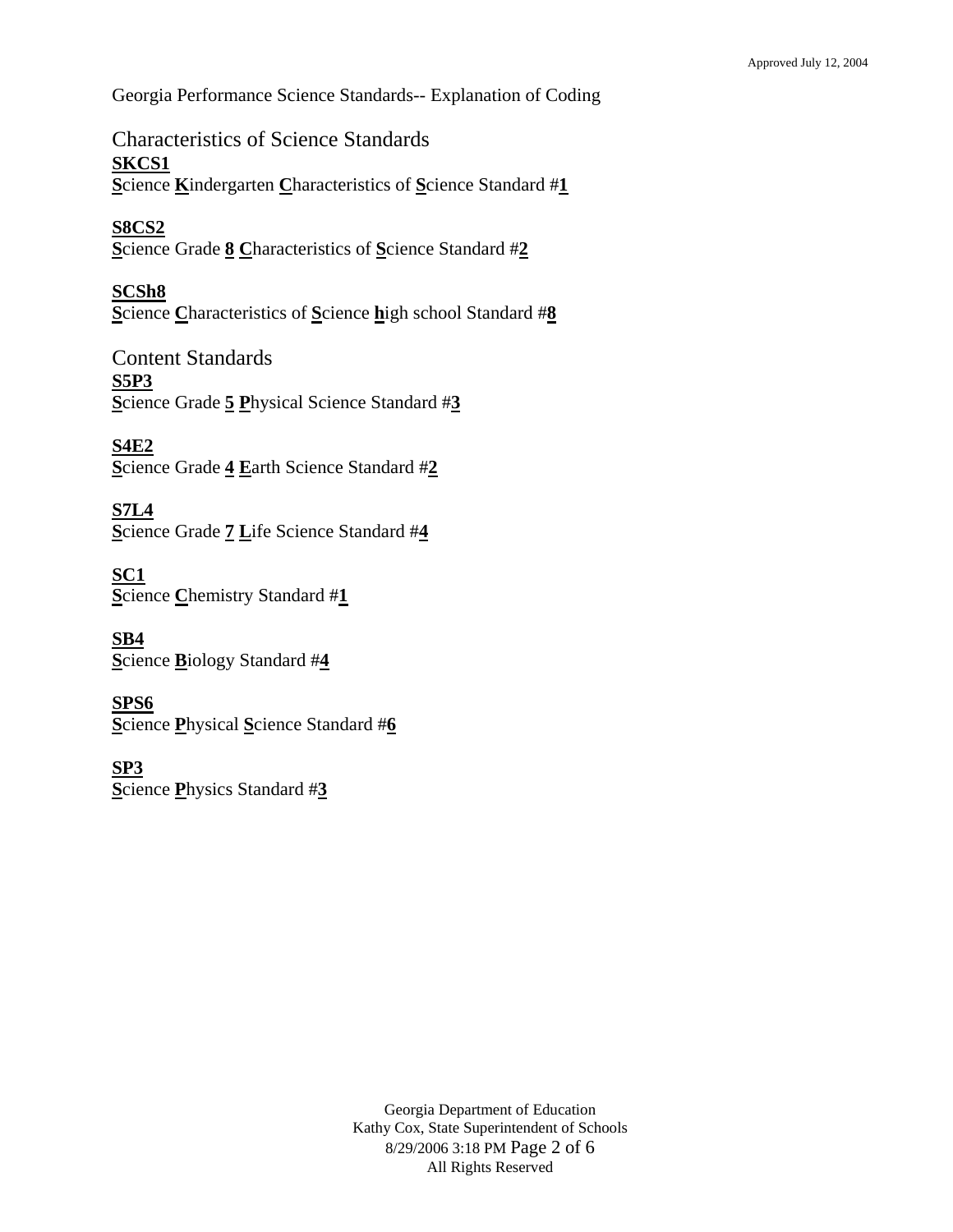Georgia Performance Science Standards-- Explanation of Coding

Characteristics of Science Standards **SKCS1 S**cience **K**indergarten **C**haracteristics of **S**cience Standard #**1**

**S8CS2 S**cience Grade **8 C**haracteristics of **S**cience Standard #**2**

**SCSh8 S**cience **C**haracteristics of **S**cience **h**igh school Standard #**8**

Content Standards **S5P3 S**cience Grade **5 P**hysical Science Standard #**3**

**S4E2 S**cience Grade **4 E**arth Science Standard #**2**

**S7L4 S**cience Grade **7 L**ife Science Standard #**4**

**SC1 S**cience **C**hemistry Standard #**1**

**SB4 S**cience **B**iology Standard #**4**

**SPS6 S**cience **P**hysical **S**cience Standard #**6**

**SP3 S**cience **P**hysics Standard #**3**

> Georgia Department of Education Kathy Cox, State Superintendent of Schools 8/29/2006 3:18 PM Page 2 of 6 All Rights Reserved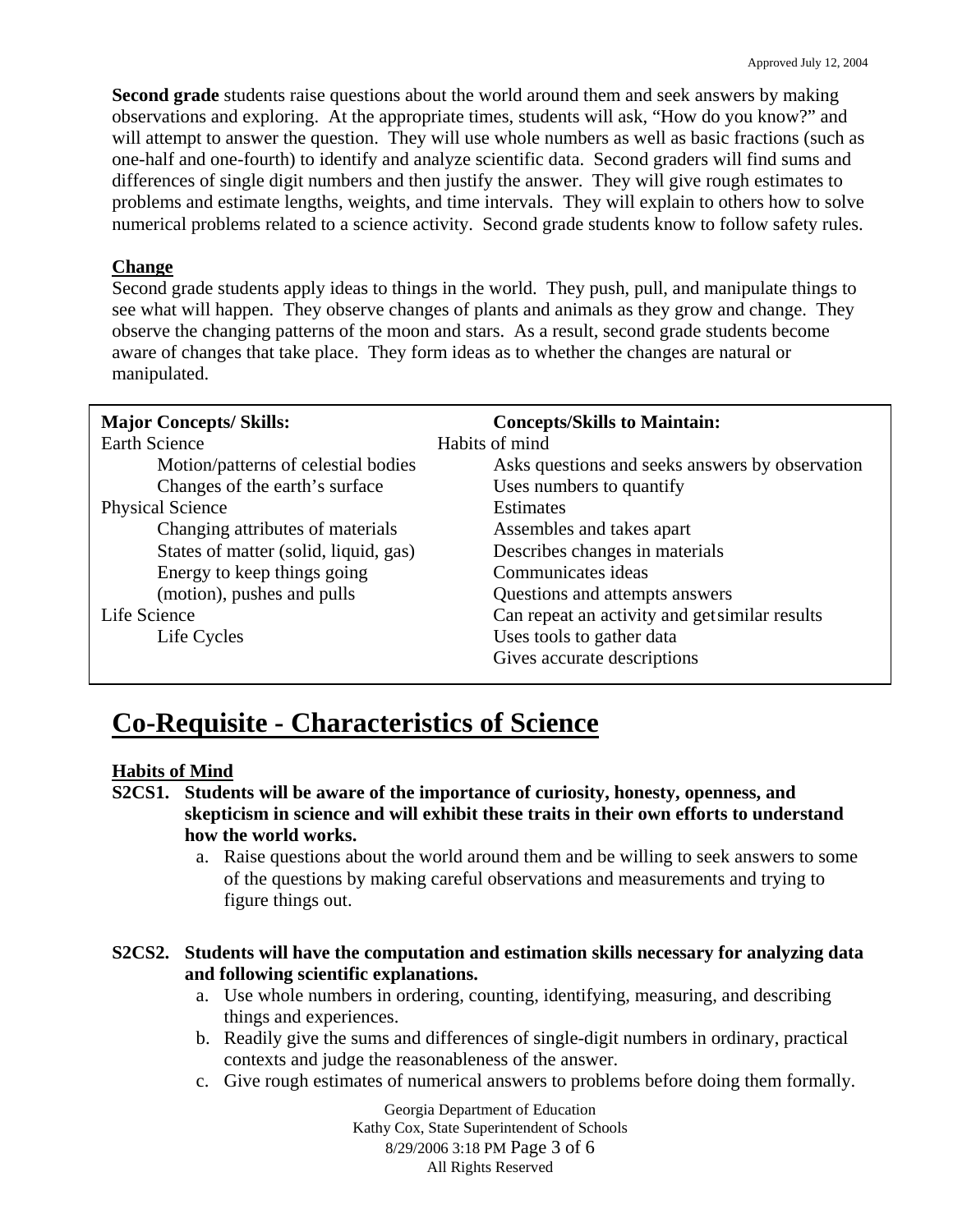**Second grade** students raise questions about the world around them and seek answers by making observations and exploring. At the appropriate times, students will ask, "How do you know?" and will attempt to answer the question. They will use whole numbers as well as basic fractions (such as one-half and one-fourth) to identify and analyze scientific data. Second graders will find sums and differences of single digit numbers and then justify the answer. They will give rough estimates to problems and estimate lengths, weights, and time intervals. They will explain to others how to solve numerical problems related to a science activity. Second grade students know to follow safety rules.

## **Change**

Second grade students apply ideas to things in the world. They push, pull, and manipulate things to see what will happen. They observe changes of plants and animals as they grow and change. They observe the changing patterns of the moon and stars. As a result, second grade students become aware of changes that take place. They form ideas as to whether the changes are natural or manipulated.

| <b>Major Concepts/Skills:</b>         | <b>Concepts/Skills to Maintain:</b>             |
|---------------------------------------|-------------------------------------------------|
| <b>Earth Science</b>                  | Habits of mind                                  |
| Motion/patterns of celestial bodies   | Asks questions and seeks answers by observation |
| Changes of the earth's surface        | Uses numbers to quantify                        |
| <b>Physical Science</b>               | <b>Estimates</b>                                |
| Changing attributes of materials      | Assembles and takes apart                       |
| States of matter (solid, liquid, gas) | Describes changes in materials                  |
| Energy to keep things going           | Communicates ideas                              |
| (motion), pushes and pulls            | Questions and attempts answers                  |
| Life Science                          | Can repeat an activity and get similar results  |
| Life Cycles                           | Uses tools to gather data                       |
|                                       | Gives accurate descriptions                     |

# **Co-Requisite - Characteristics of Science**

## **Habits of Mind**

- **S2CS1. Students will be aware of the importance of curiosity, honesty, openness, and skepticism in science and will exhibit these traits in their own efforts to understand how the world works.** 
	- a. Raise questions about the world around them and be willing to seek answers to some of the questions by making careful observations and measurements and trying to figure things out.

## **S2CS2. Students will have the computation and estimation skills necessary for analyzing data and following scientific explanations.**

- a. Use whole numbers in ordering, counting, identifying, measuring, and describing things and experiences.
- b. Readily give the sums and differences of single-digit numbers in ordinary, practical contexts and judge the reasonableness of the answer.
- c. Give rough estimates of numerical answers to problems before doing them formally.

Georgia Department of Education Kathy Cox, State Superintendent of Schools 8/29/2006 3:18 PM Page 3 of 6 All Rights Reserved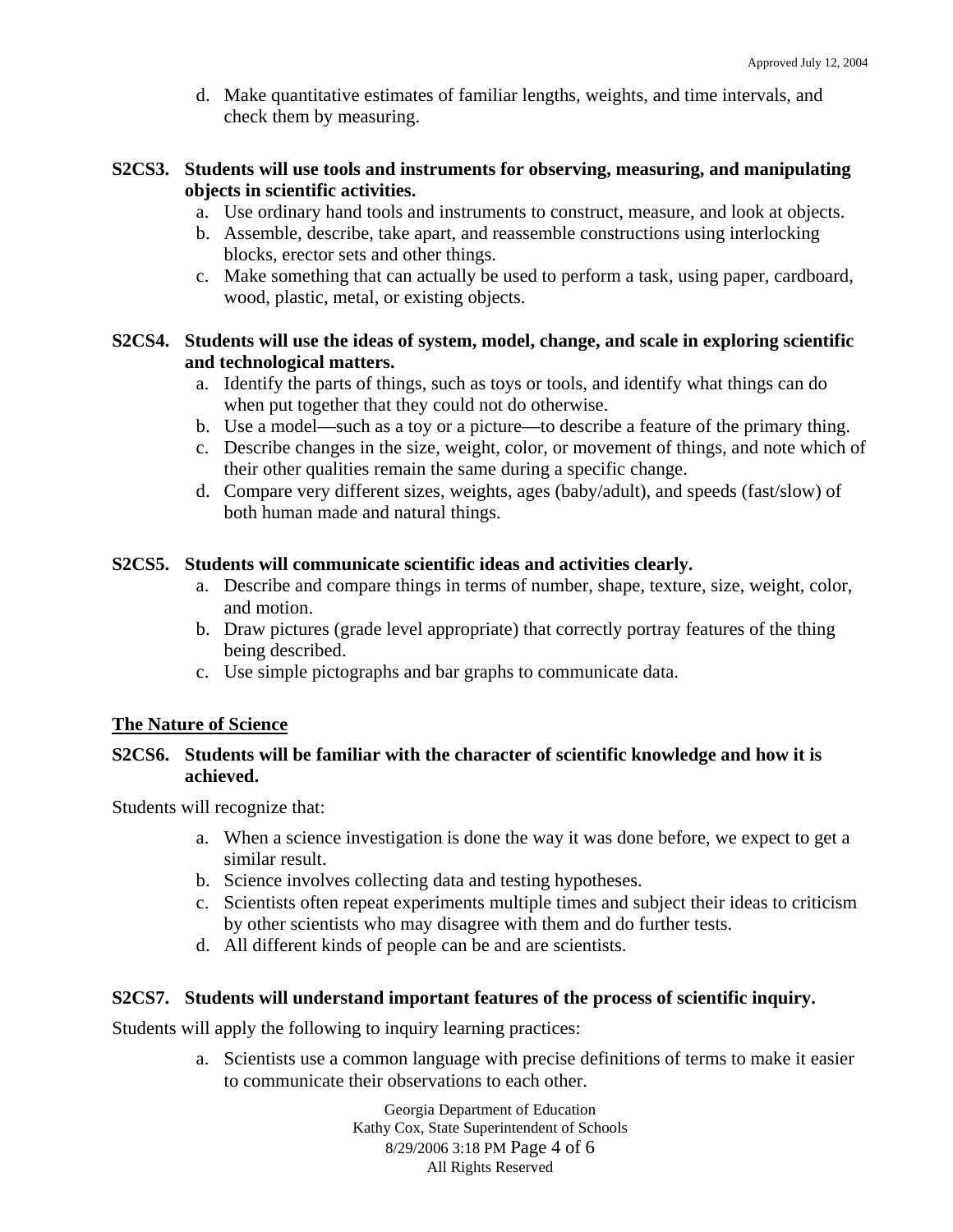d. Make quantitative estimates of familiar lengths, weights, and time intervals, and check them by measuring.

## **S2CS3. Students will use tools and instruments for observing, measuring, and manipulating objects in scientific activities.**

- a. Use ordinary hand tools and instruments to construct, measure, and look at objects.
- b. Assemble, describe, take apart, and reassemble constructions using interlocking blocks, erector sets and other things.
- c. Make something that can actually be used to perform a task, using paper, cardboard, wood, plastic, metal, or existing objects.

## **S2CS4. Students will use the ideas of system, model, change, and scale in exploring scientific and technological matters.**

- a. Identify the parts of things, such as toys or tools, and identify what things can do when put together that they could not do otherwise.
- b. Use a model—such as a toy or a picture—to describe a feature of the primary thing.
- c. Describe changes in the size, weight, color, or movement of things, and note which of their other qualities remain the same during a specific change.
- d. Compare very different sizes, weights, ages (baby/adult), and speeds (fast/slow) of both human made and natural things.

## **S2CS5. Students will communicate scientific ideas and activities clearly.**

- a. Describe and compare things in terms of number, shape, texture, size, weight, color, and motion.
- b. Draw pictures (grade level appropriate) that correctly portray features of the thing being described.
- c. Use simple pictographs and bar graphs to communicate data.

# **The Nature of Science**

## **S2CS6. Students will be familiar with the character of scientific knowledge and how it is achieved.**

Students will recognize that:

- a. When a science investigation is done the way it was done before, we expect to get a similar result.
- b. Science involves collecting data and testing hypotheses.
- c. Scientists often repeat experiments multiple times and subject their ideas to criticism by other scientists who may disagree with them and do further tests.
- d. All different kinds of people can be and are scientists.

## **S2CS7. Students will understand important features of the process of scientific inquiry.**

Students will apply the following to inquiry learning practices:

a. Scientists use a common language with precise definitions of terms to make it easier to communicate their observations to each other.

> Georgia Department of Education Kathy Cox, State Superintendent of Schools 8/29/2006 3:18 PM Page 4 of 6 All Rights Reserved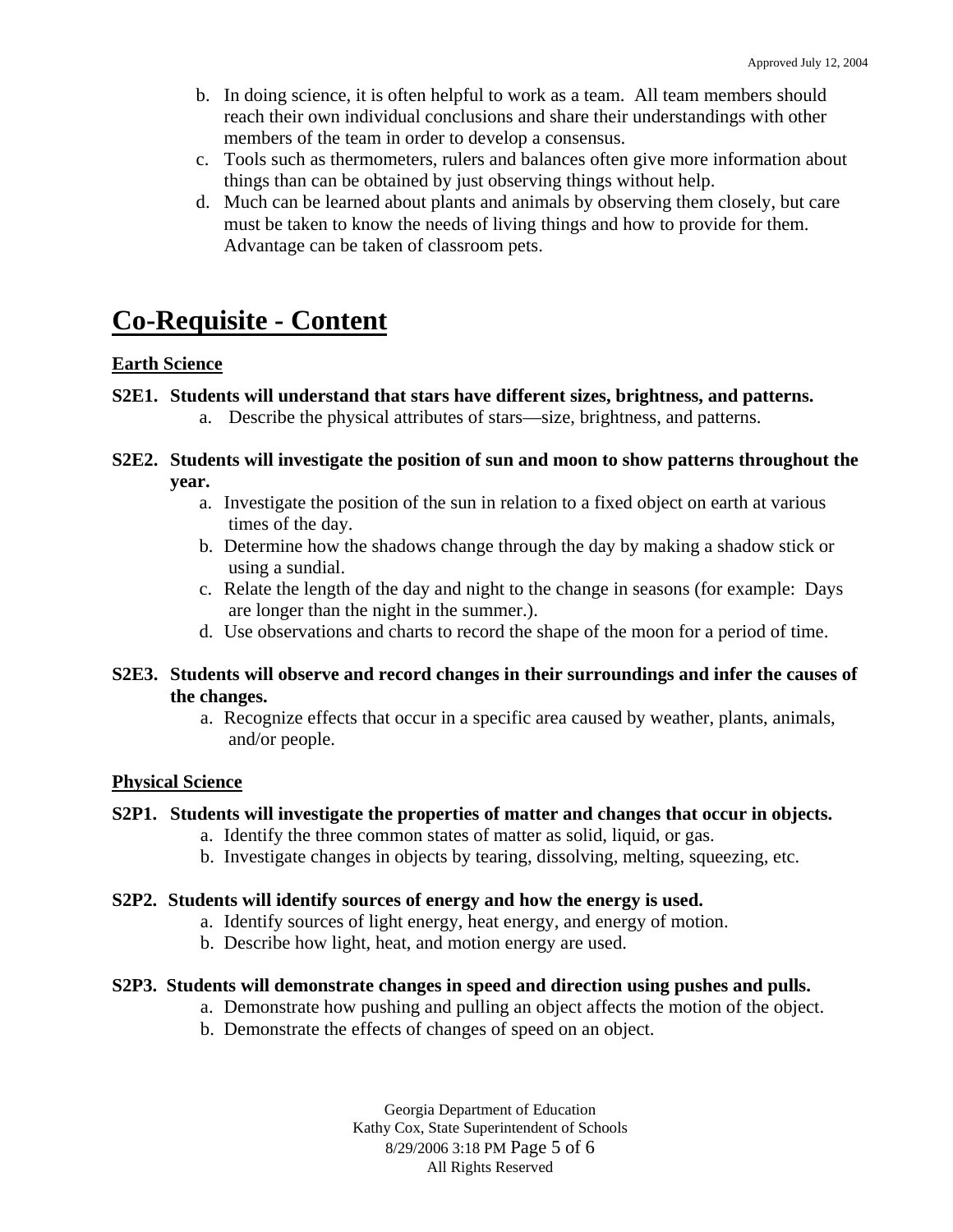- b. In doing science, it is often helpful to work as a team. All team members should reach their own individual conclusions and share their understandings with other members of the team in order to develop a consensus.
- c. Tools such as thermometers, rulers and balances often give more information about things than can be obtained by just observing things without help.
- d. Much can be learned about plants and animals by observing them closely, but care must be taken to know the needs of living things and how to provide for them. Advantage can be taken of classroom pets.

# **Co-Requisite - Content**

## **Earth Science**

## **S2E1. Students will understand that stars have different sizes, brightness, and patterns.**

a. Describe the physical attributes of stars—size, brightness, and patterns.

#### **S2E2. Students will investigate the position of sun and moon to show patterns throughout the year.**

- a. Investigate the position of the sun in relation to a fixed object on earth at various times of the day.
- b. Determine how the shadows change through the day by making a shadow stick or using a sundial.
- c. Relate the length of the day and night to the change in seasons (for example: Days are longer than the night in the summer.).
- d. Use observations and charts to record the shape of the moon for a period of time.

## **S2E3. Students will observe and record changes in their surroundings and infer the causes of the changes.**

a. Recognize effects that occur in a specific area caused by weather, plants, animals, and/or people.

# **Physical Science**

## **S2P1. Students will investigate the properties of matter and changes that occur in objects.**

- a. Identify the three common states of matter as solid, liquid, or gas.
- b. Investigate changes in objects by tearing, dissolving, melting, squeezing, etc.

## **S2P2. Students will identify sources of energy and how the energy is used.**

- a. Identify sources of light energy, heat energy, and energy of motion.
- b. Describe how light, heat, and motion energy are used.

## **S2P3. Students will demonstrate changes in speed and direction using pushes and pulls.**

- a. Demonstrate how pushing and pulling an object affects the motion of the object.
- b. Demonstrate the effects of changes of speed on an object.

Georgia Department of Education Kathy Cox, State Superintendent of Schools 8/29/2006 3:18 PM Page 5 of 6 All Rights Reserved